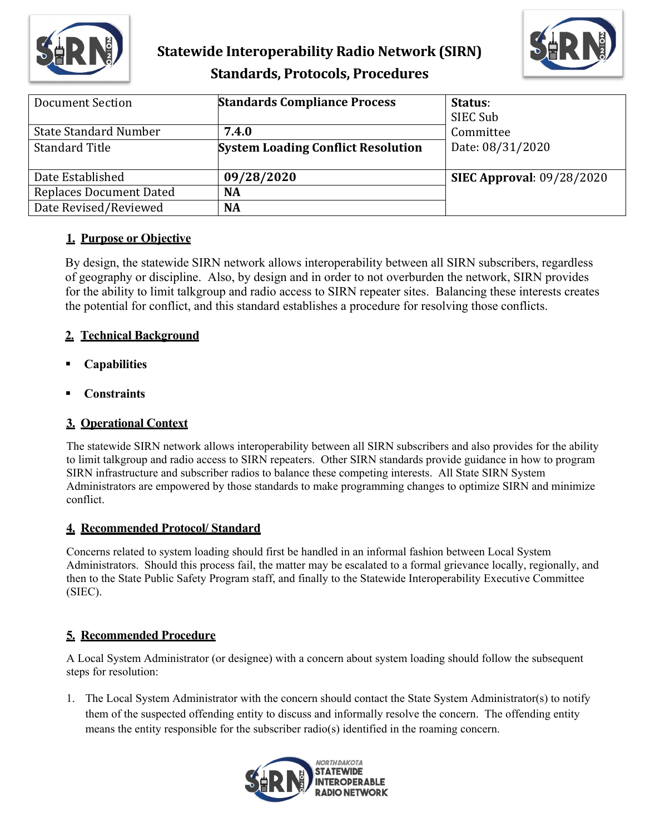

# **Statewide Interoperability Radio Network (SIRN) Standards, Protocols, Procedures**



| Document Section             | <b>Standards Compliance Process</b>       | Status:<br>SIEC Sub              |
|------------------------------|-------------------------------------------|----------------------------------|
| <b>State Standard Number</b> | 7.4.0                                     | Committee                        |
| <b>Standard Title</b>        | <b>System Loading Conflict Resolution</b> | Date: 08/31/2020                 |
| Date Established             | 09/28/2020                                | <b>SIEC Approval: 09/28/2020</b> |
| Replaces Document Dated      | <b>NA</b>                                 |                                  |
| Date Revised/Reviewed        | <b>NA</b>                                 |                                  |

## **1. Purpose or Objective**

By design, the statewide SIRN network allows interoperability between all SIRN subscribers, regardless of geography or discipline. Also, by design and in order to not overburden the network, SIRN provides for the ability to limit talkgroup and radio access to SIRN repeater sites. Balancing these interests creates the potential for conflict, and this standard establishes a procedure for resolving those conflicts.

## **2. Technical Background**

- **Capabilities**
- **Constraints**

## **3. Operational Context**

The statewide SIRN network allows interoperability between all SIRN subscribers and also provides for the ability to limit talkgroup and radio access to SIRN repeaters. Other SIRN standards provide guidance in how to program SIRN infrastructure and subscriber radios to balance these competing interests. All State SIRN System Administrators are empowered by those standards to make programming changes to optimize SIRN and minimize conflict.

## **4. Recommended Protocol/ Standard**

Concerns related to system loading should first be handled in an informal fashion between Local System Administrators. Should this process fail, the matter may be escalated to a formal grievance locally, regionally, and then to the State Public Safety Program staff, and finally to the Statewide Interoperability Executive Committee (SIEC).

## **5. Recommended Procedure**

A Local System Administrator (or designee) with a concern about system loading should follow the subsequent steps for resolution:

1. The Local System Administrator with the concern should contact the State System Administrator(s) to notify them of the suspected offending entity to discuss and informally resolve the concern. The offending entity means the entity responsible for the subscriber radio(s) identified in the roaming concern.